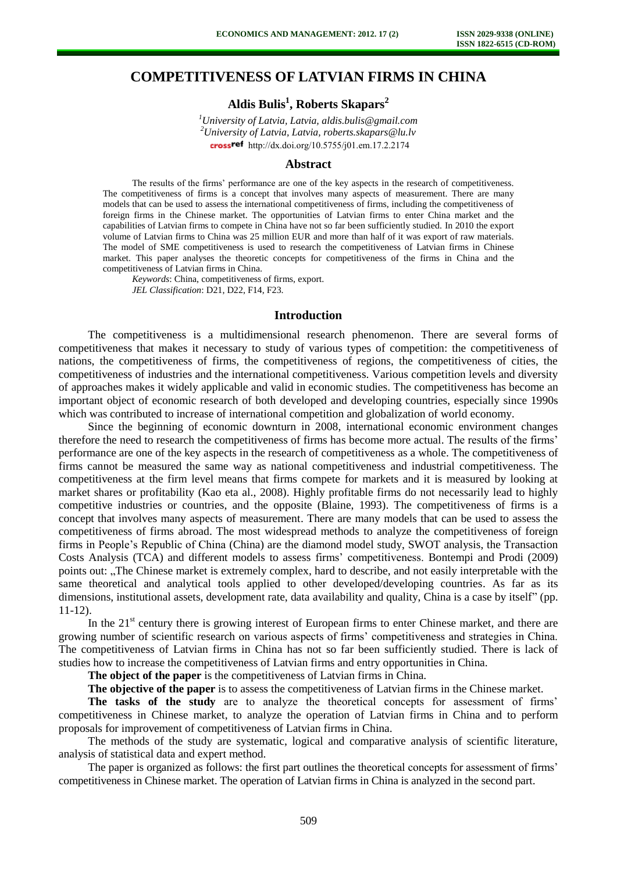## **COMPETITIVENESS OF LATVIAN FIRMS IN CHINA**

# **Aldis Bulis<sup>1</sup> , Roberts Skapars<sup>2</sup>**

*<sup>1</sup>University of Latvia, Latvia, aldis.bulis@gmail.com <sup>2</sup>University of Latvia, Latvia, roberts.skapars@lu.lv*  crossref [http://dx.doi.org/10.5755/j01.e](http://dx.doi.org/10.5755/j01.em.17.2.2174)m.17.2.2174

#### **Abstract**

The results of the firms' performance are one of the key aspects in the research of competitiveness. The competitiveness of firms is a concept that involves many aspects of measurement. There are many models that can be used to assess the international competitiveness of firms, including the competitiveness of foreign firms in the Chinese market. The opportunities of Latvian firms to enter China market and the capabilities of Latvian firms to compete in China have not so far been sufficiently studied. In 2010 the export volume of Latvian firms to China was 25 million EUR and more than half of it was export of raw materials. The model of SME competitiveness is used to research the competitiveness of Latvian firms in Chinese market. This paper analyses the theoretic concepts for competitiveness of the firms in China and the competitiveness of Latvian firms in China.

*Keywords*: China, competitiveness of firms, export. *JEL Classification*: D21, D22, F14, F23.

#### **Introduction**

The competitiveness is a multidimensional research phenomenon. There are several forms of competitiveness that makes it necessary to study of various types of competition: the competitiveness of nations, the competitiveness of firms, the competitiveness of regions, the competitiveness of cities, the competitiveness of industries and the international competitiveness. Various competition levels and diversity of approaches makes it widely applicable and valid in economic studies. The competitiveness has become an important object of economic research of both developed and developing countries, especially since 1990s which was contributed to increase of international competition and globalization of world economy.

Since the beginning of economic downturn in 2008, international economic environment changes therefore the need to research the competitiveness of firms has become more actual. The results of the firms' performance are one of the key aspects in the research of competitiveness as a whole. The competitiveness of firms cannot be measured the same way as national competitiveness and industrial competitiveness. The competitiveness at the firm level means that firms compete for markets and it is measured by looking at market shares or profitability (Kao eta al., 2008). Highly profitable firms do not necessarily lead to highly competitive industries or countries, and the opposite (Blaine, 1993). The competitiveness of firms is a concept that involves many aspects of measurement. There are many models that can be used to assess the competitiveness of firms abroad. The most widespread methods to analyze the competitiveness of foreign firms in People's Republic of China (China) are the diamond model study, SWOT analysis, the Transaction Costs Analysis (TCA) and different models to assess firms' competitiveness. Bontempi and Prodi (2009) points out: "The Chinese market is extremely complex, hard to describe, and not easily interpretable with the same theoretical and analytical tools applied to other developed/developing countries. As far as its dimensions, institutional assets, development rate, data availability and quality, China is a case by itself" (pp. 11-12).

In the  $21<sup>st</sup>$  century there is growing interest of European firms to enter Chinese market, and there are growing number of scientific research on various aspects of firms' competitiveness and strategies in China. The competitiveness of Latvian firms in China has not so far been sufficiently studied. There is lack of studies how to increase the competitiveness of Latvian firms and entry opportunities in China.

**The object of the paper** is the competitiveness of Latvian firms in China.

**The objective of the paper** is to assess the competitiveness of Latvian firms in the Chinese market.

The tasks of the study are to analyze the theoretical concepts for assessment of firms' competitiveness in Chinese market, to analyze the operation of Latvian firms in China and to perform proposals for improvement of competitiveness of Latvian firms in China.

The methods of the study are systematic, logical and comparative analysis of scientific literature, analysis of statistical data and expert method.

The paper is organized as follows: the first part outlines the theoretical concepts for assessment of firms' competitiveness in Chinese market. The operation of Latvian firms in China is analyzed in the second part.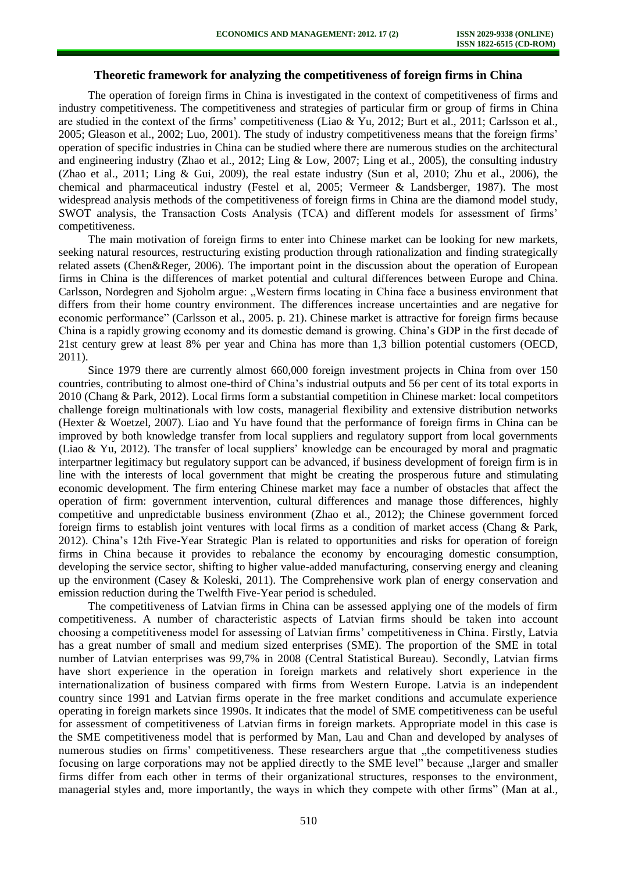## **Theoretic framework for analyzing the competitiveness of foreign firms in China**

The operation of foreign firms in China is investigated in the context of competitiveness of firms and industry competitiveness. The competitiveness and strategies of particular firm or group of firms in China are studied in the context of the firms' competitiveness (Liao & Yu, 2012; Burt et al., 2011; Carlsson et al., 2005; Gleason et al., 2002; Luo, 2001). The study of industry competitiveness means that the foreign firms' operation of specific industries in China can be studied where there are numerous studies on the architectural and engineering industry (Zhao et al., 2012; Ling & Low, 2007; Ling et al., 2005), the consulting industry (Zhao et al., 2011; Ling & Gui, 2009), the real estate industry (Sun et al, 2010; Zhu et al., 2006), the chemical and pharmaceutical industry (Festel et al, 2005; Vermeer & Landsberger, 1987). The most widespread analysis methods of the competitiveness of foreign firms in China are the diamond model study, SWOT analysis, the Transaction Costs Analysis (TCA) and different models for assessment of firms' competitiveness.

The main motivation of foreign firms to enter into Chinese market can be looking for new markets, seeking natural resources, restructuring existing production through rationalization and finding strategically related assets (Chen&Reger, 2006). The important point in the discussion about the operation of European firms in China is the differences of market potential and cultural differences between Europe and China. Carlsson, Nordegren and Sjoholm argue: "Western firms locating in China face a business environment that differs from their home country environment. The differences increase uncertainties and are negative for economic performance" (Carlsson et al., 2005. p. 21). Chinese market is attractive for foreign firms because China is a rapidly growing economy and its domestic demand is growing. China's GDP in the first decade of 21st century grew at least 8% per year and China has more than 1,3 billion potential customers (OECD, 2011).

Since 1979 there are currently almost 660,000 foreign investment projects in China from over 150 countries, contributing to almost one-third of China's industrial outputs and 56 per cent of its total exports in 2010 (Chang & Park, 2012). Local firms form a substantial competition in Chinese market: local competitors challenge foreign multinationals with low costs, managerial flexibility and extensive distribution networks (Hexter & Woetzel, 2007). Liao and Yu have found that the performance of foreign firms in China can be improved by both knowledge transfer from local suppliers and regulatory support from local governments (Liao & Yu, 2012). The transfer of local suppliers' knowledge can be encouraged by moral and pragmatic interpartner legitimacy but regulatory support can be advanced, if business development of foreign firm is in line with the interests of local government that might be creating the prosperous future and stimulating economic development. The firm entering Chinese market may face a number of obstacles that affect the operation of firm: government intervention, cultural differences and manage those differences, highly competitive and unpredictable business environment (Zhao et al., 2012); the Chinese government forced foreign firms to establish joint ventures with local firms as a condition of market access (Chang & Park, 2012). China's 12th Five-Year Strategic Plan is related to opportunities and risks for operation of foreign firms in China because it provides to rebalance the economy by encouraging domestic consumption, developing the service sector, shifting to higher value-added manufacturing, conserving energy and cleaning up the environment (Casey & Koleski, 2011). The Comprehensive work plan of energy conservation and emission reduction during the Twelfth Five-Year period is scheduled.

The competitiveness of Latvian firms in China can be assessed applying one of the models of firm competitiveness. A number of characteristic aspects of Latvian firms should be taken into account choosing a competitiveness model for assessing of Latvian firms' competitiveness in China. Firstly, Latvia has a great number of small and medium sized enterprises (SME). The proportion of the SME in total number of Latvian enterprises was 99,7% in 2008 (Central Statistical Bureau). Secondly, Latvian firms have short experience in the operation in foreign markets and relatively short experience in the internationalization of business compared with firms from Western Europe. Latvia is an independent country since 1991 and Latvian firms operate in the free market conditions and accumulate experience operating in foreign markets since 1990s. It indicates that the model of SME competitiveness can be useful for assessment of competitiveness of Latvian firms in foreign markets. Appropriate model in this case is the SME competitiveness model that is performed by Man, Lau and Chan and developed by analyses of numerous studies on firms' competitiveness. These researchers argue that "the competitiveness studies" focusing on large corporations may not be applied directly to the SME level" because "larger and smaller" firms differ from each other in terms of their organizational structures, responses to the environment, managerial styles and, more importantly, the ways in which they compete with other firms" (Man at al.,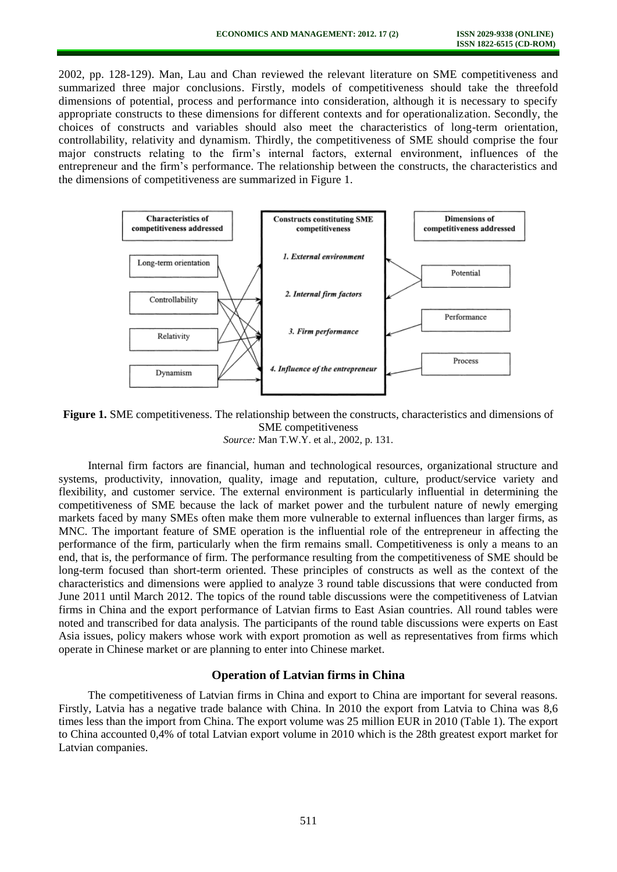2002, pp. 128-129). Man, Lau and Chan reviewed the relevant literature on SME competitiveness and summarized three major conclusions. Firstly, models of competitiveness should take the threefold dimensions of potential, process and performance into consideration, although it is necessary to specify appropriate constructs to these dimensions for different contexts and for operationalization. Secondly, the choices of constructs and variables should also meet the characteristics of long-term orientation, controllability, relativity and dynamism. Thirdly, the competitiveness of SME should comprise the four major constructs relating to the firm's internal factors, external environment, influences of the entrepreneur and the firm's performance. The relationship between the constructs, the characteristics and the dimensions of competitiveness are summarized in Figure 1.



**Figure 1.** SME competitiveness. The relationship between the constructs, characteristics and dimensions of SME competitiveness *Source:* Man T.W.Y. et al., 2002, p. 131.

Internal firm factors are financial, human and technological resources, organizational structure and systems, productivity, innovation, quality, image and reputation, culture, product/service variety and flexibility, and customer service. The external environment is particularly influential in determining the competitiveness of SME because the lack of market power and the turbulent nature of newly emerging markets faced by many SMEs often make them more vulnerable to external influences than larger firms, as MNC. The important feature of SME operation is the influential role of the entrepreneur in affecting the performance of the firm, particularly when the firm remains small. Competitiveness is only a means to an end, that is, the performance of firm. The performance resulting from the competitiveness of SME should be long-term focused than short-term oriented. These principles of constructs as well as the context of the characteristics and dimensions were applied to analyze 3 round table discussions that were conducted from June 2011 until March 2012. The topics of the round table discussions were the competitiveness of Latvian firms in China and the export performance of Latvian firms to East Asian countries. All round tables were noted and transcribed for data analysis. The participants of the round table discussions were experts on East Asia issues, policy makers whose work with export promotion as well as representatives from firms which operate in Chinese market or are planning to enter into Chinese market.

## **Operation of Latvian firms in China**

The competitiveness of Latvian firms in China and export to China are important for several reasons. Firstly, Latvia has a negative trade balance with China. In 2010 the export from Latvia to China was 8,6 times less than the import from China. The export volume was 25 million EUR in 2010 (Table 1). The export to China accounted 0,4% of total Latvian export volume in 2010 which is the 28th greatest export market for Latvian companies.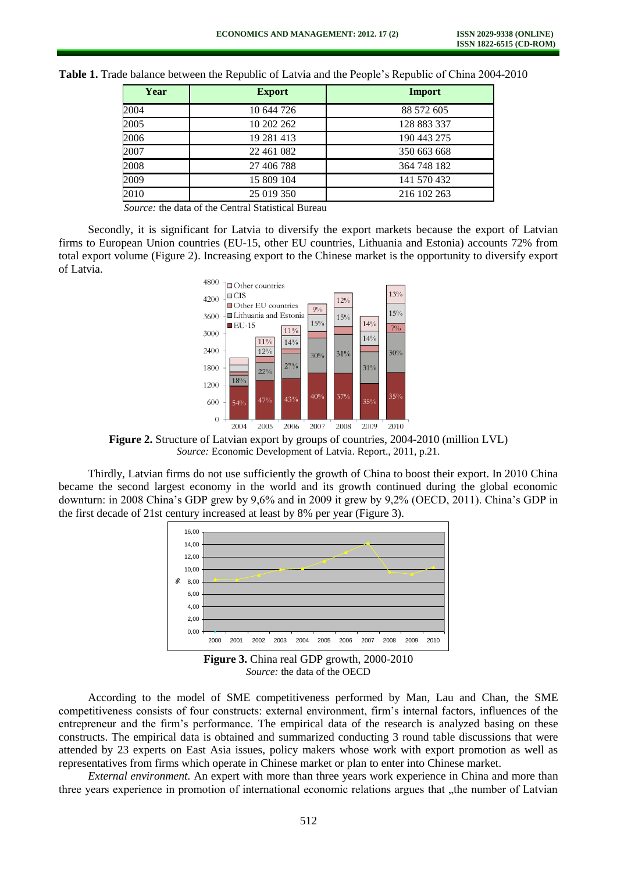| Year | <b>Export</b> | Import      |
|------|---------------|-------------|
| 2004 | 10 644 726    | 88 572 605  |
| 2005 | 10 202 262    | 128 883 337 |
| 2006 | 19 281 413    | 190 443 275 |
| 2007 | 22 461 082    | 350 663 668 |
| 2008 | 27 406 788    | 364 748 182 |
| 2009 | 15 809 104    | 141 570 432 |
| 2010 | 25 019 350    | 216 102 263 |

**Table 1.** Trade balance between the Republic of Latvia and the People's Republic of China 2004-2010

*Source:* the data of the Central Statistical Bureau

Secondly, it is significant for Latvia to diversify the export markets because the export of Latvian firms to European Union countries (EU-15, other EU countries, Lithuania and Estonia) accounts 72% from total export volume (Figure 2). Increasing export to the Chinese market is the opportunity to diversify export of Latvia.



**Figure 2.** Structure of Latvian export by groups of countries, 2004-2010 (million LVL) *Source:* Economic Development of Latvia. Report., 2011, p.21.

Thirdly, Latvian firms do not use sufficiently the growth of China to boost their export. In 2010 China became the second largest economy in the world and its growth continued during the global economic downturn: in 2008 China's GDP grew by 9,6% and in 2009 it grew by 9,2% (OECD, 2011). China's GDP in the first decade of 21st century increased at least by 8% per year (Figure 3).



**Figure 3.** China real GDP growth, 2000-2010 *Source:* the data of the OECD

According to the model of SME competitiveness performed by Man, Lau and Chan, the SME competitiveness consists of four constructs: external environment, firm's internal factors, influences of the entrepreneur and the firm's performance. The empirical data of the research is analyzed basing on these constructs. The empirical data is obtained and summarized conducting 3 round table discussions that were attended by 23 experts on East Asia issues, policy makers whose work with export promotion as well as representatives from firms which operate in Chinese market or plan to enter into Chinese market.

*External environment.* An expert with more than three years work experience in China and more than three years experience in promotion of international economic relations argues that "the number of Latvian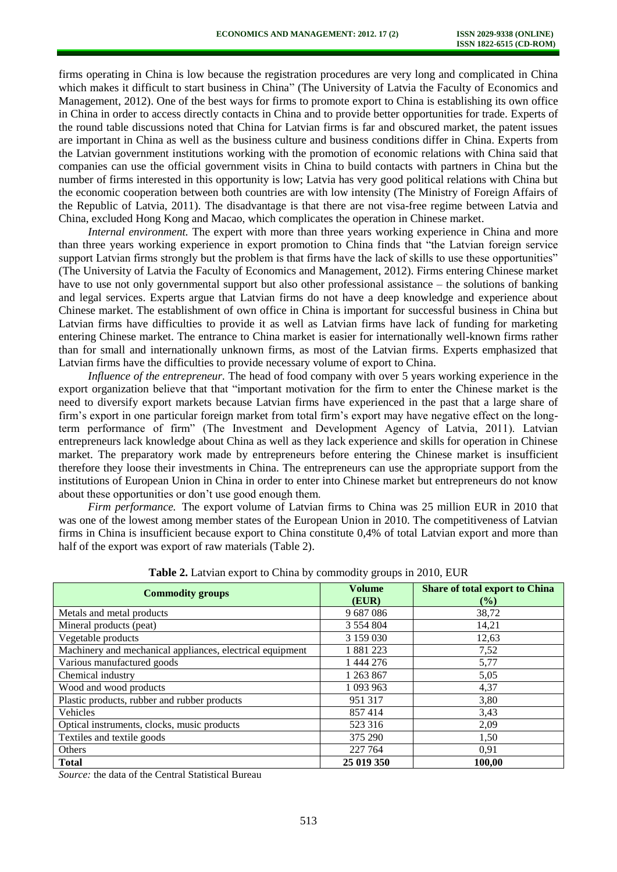firms operating in China is low because the registration procedures are very long and complicated in China which makes it difficult to start business in China" (The University of Latvia the Faculty of Economics and Management, 2012). One of the best ways for firms to promote export to China is establishing its own office in China in order to access directly contacts in China and to provide better opportunities for trade. Experts of the round table discussions noted that China for Latvian firms is far and obscured market, the patent issues are important in China as well as the business culture and business conditions differ in China. Experts from the Latvian government institutions working with the promotion of economic relations with China said that companies can use the official government visits in China to build contacts with partners in China but the number of firms interested in this opportunity is low; Latvia has very good political relations with China but the economic cooperation between both countries are with low intensity (The Ministry of Foreign Affairs of the Republic of Latvia, 2011). The disadvantage is that there are not visa-free regime between Latvia and China, excluded Hong Kong and Macao, which complicates the operation in Chinese market.

*Internal environment.* The expert with more than three years working experience in China and more than three years working experience in export promotion to China finds that "the Latvian foreign service support Latvian firms strongly but the problem is that firms have the lack of skills to use these opportunities" (The University of Latvia the Faculty of Economics and Management, 2012). Firms entering Chinese market have to use not only governmental support but also other professional assistance – the solutions of banking and legal services. Experts argue that Latvian firms do not have a deep knowledge and experience about Chinese market. The establishment of own office in China is important for successful business in China but Latvian firms have difficulties to provide it as well as Latvian firms have lack of funding for marketing entering Chinese market. The entrance to China market is easier for internationally well-known firms rather than for small and internationally unknown firms, as most of the Latvian firms. Experts emphasized that Latvian firms have the difficulties to provide necessary volume of export to China.

*Influence of the entrepreneur.* The head of food company with over 5 years working experience in the export organization believe that that "important motivation for the firm to enter the Chinese market is the need to diversify export markets because Latvian firms have experienced in the past that a large share of firm's export in one particular foreign market from total firm's export may have negative effect on the longterm performance of firm" (The Investment and Development Agency of Latvia, 2011). Latvian entrepreneurs lack knowledge about China as well as they lack experience and skills for operation in Chinese market. The preparatory work made by entrepreneurs before entering the Chinese market is insufficient therefore they loose their investments in China. The entrepreneurs can use the appropriate support from the institutions of European Union in China in order to enter into Chinese market but entrepreneurs do not know about these opportunities or don't use good enough them.

*Firm performance.* The export volume of Latvian firms to China was 25 million EUR in 2010 that was one of the lowest among member states of the European Union in 2010. The competitiveness of Latvian firms in China is insufficient because export to China constitute 0,4% of total Latvian export and more than half of the export was export of raw materials (Table 2).

| <b>Commodity groups</b>                                   | <b>Volume</b><br>(EUR) | <b>Share of total export to China</b><br>$($ %) |
|-----------------------------------------------------------|------------------------|-------------------------------------------------|
| Metals and metal products                                 | 9687086                | 38,72                                           |
| Mineral products (peat)                                   | 3 5 5 4 8 0 4          | 14,21                                           |
| Vegetable products                                        | 3 159 030              | 12,63                                           |
| Machinery and mechanical appliances, electrical equipment | 1881223                | 7,52                                            |
| Various manufactured goods                                | 1 444 276              | 5,77                                            |
| Chemical industry                                         | 1 263 867              | 5,05                                            |
| Wood and wood products                                    | 1 093 963              | 4,37                                            |
| Plastic products, rubber and rubber products              | 951 317                | 3,80                                            |
| Vehicles                                                  | 857414                 | 3,43                                            |
| Optical instruments, clocks, music products               | 523 316                | 2,09                                            |
| Textiles and textile goods                                | 375 290                | 1,50                                            |
| Others                                                    | 227 764                | 0,91                                            |
| <b>Total</b>                                              | 25 019 350             | 100,00                                          |

**Table 2.** Latvian export to China by commodity groups in 2010, EUR

*Source:* the data of the Central Statistical Bureau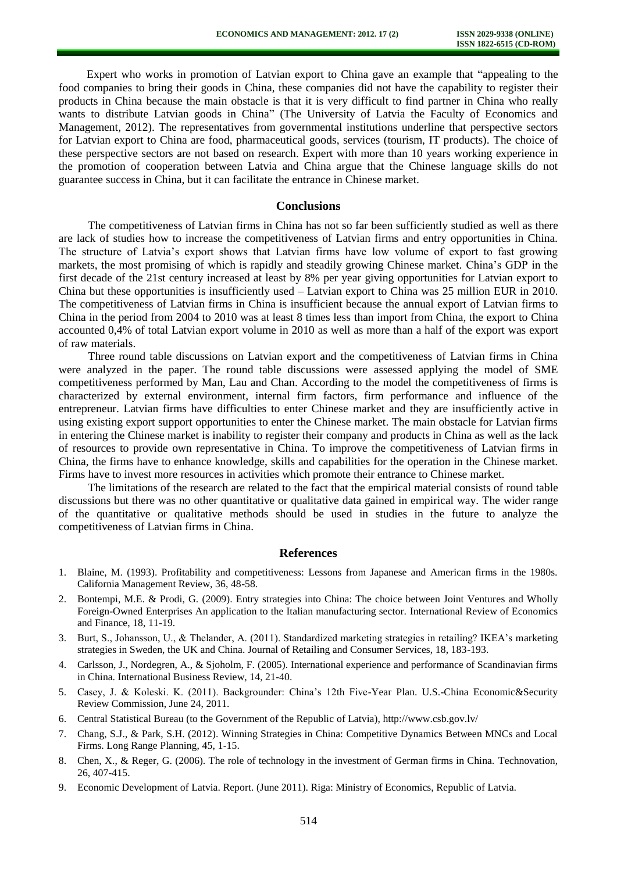Expert who works in promotion of Latvian export to China gave an example that "appealing to the food companies to bring their goods in China, these companies did not have the capability to register their products in China because the main obstacle is that it is very difficult to find partner in China who really wants to distribute Latvian goods in China" (The University of Latvia the Faculty of Economics and Management, 2012). The representatives from governmental institutions underline that perspective sectors for Latvian export to China are food, pharmaceutical goods, services (tourism, IT products). The choice of these perspective sectors are not based on research. Expert with more than 10 years working experience in the promotion of cooperation between Latvia and China argue that the Chinese language skills do not guarantee success in China, but it can facilitate the entrance in Chinese market.

#### **Conclusions**

The competitiveness of Latvian firms in China has not so far been sufficiently studied as well as there are lack of studies how to increase the competitiveness of Latvian firms and entry opportunities in China. The structure of Latvia's export shows that Latvian firms have low volume of export to fast growing markets, the most promising of which is rapidly and steadily growing Chinese market. China's GDP in the first decade of the 21st century increased at least by 8% per year giving opportunities for Latvian export to China but these opportunities is insufficiently used – Latvian export to China was 25 million EUR in 2010. The competitiveness of Latvian firms in China is insufficient because the annual export of Latvian firms to China in the period from 2004 to 2010 was at least 8 times less than import from China, the export to China accounted 0,4% of total Latvian export volume in 2010 as well as more than a half of the export was export of raw materials.

Three round table discussions on Latvian export and the competitiveness of Latvian firms in China were analyzed in the paper. The round table discussions were assessed applying the model of SME competitiveness performed by Man, Lau and Chan. According to the model the competitiveness of firms is characterized by external environment, internal firm factors, firm performance and influence of the entrepreneur. Latvian firms have difficulties to enter Chinese market and they are insufficiently active in using existing export support opportunities to enter the Chinese market. The main obstacle for Latvian firms in entering the Chinese market is inability to register their company and products in China as well as the lack of resources to provide own representative in China. To improve the competitiveness of Latvian firms in China, the firms have to enhance knowledge, skills and capabilities for the operation in the Chinese market. Firms have to invest more resources in activities which promote their entrance to Chinese market.

The limitations of the research are related to the fact that the empirical material consists of round table discussions but there was no other quantitative or qualitative data gained in empirical way. The wider range of the quantitative or qualitative methods should be used in studies in the future to analyze the competitiveness of Latvian firms in China.

#### **References**

- 1. Blaine, M. (1993). Profitability and competitiveness: Lessons from Japanese and American firms in the 1980s. California Management Review, 36, 48-58.
- 2. Bontempi, M.E. & Prodi, G. (2009). Entry strategies into China: The choice between Joint Ventures and Wholly Foreign-Owned Enterprises An application to the Italian manufacturing sector. International Review of Economics and Finance, 18, 11-19.
- 3. Burt, S., Johansson, U., & Thelander, A. (2011). Standardized marketing strategies in retailing? IKEA's marketing strategies in Sweden, the UK and China. Journal of Retailing and Consumer Services, 18, 183-193.
- 4. Carlsson, J., Nordegren, A., & Sjoholm, F. (2005). International experience and performance of Scandinavian firms in China. International Business Review, 14, 21-40.
- 5. Casey, J. & Koleski. K. (2011). Backgrounder: China's 12th Five-Year Plan. U.S.-China Economic&Security Review Commission, June 24, 2011.
- 6. Central Statistical Bureau (to the Government of the Republic of Latvia), http://www.csb.gov.lv/
- 7. Chang, S.J., & Park, S.H. (2012). Winning Strategies in China: Competitive Dynamics Between MNCs and Local Firms. Long Range Planning, 45, 1-15.
- 8. Chen, X., & Reger, G. (2006). The role of technology in the investment of German firms in China. Technovation, 26, 407-415.
- 9. Economic Development of Latvia. Report. (June 2011). Riga: Ministry of Economics, Republic of Latvia.